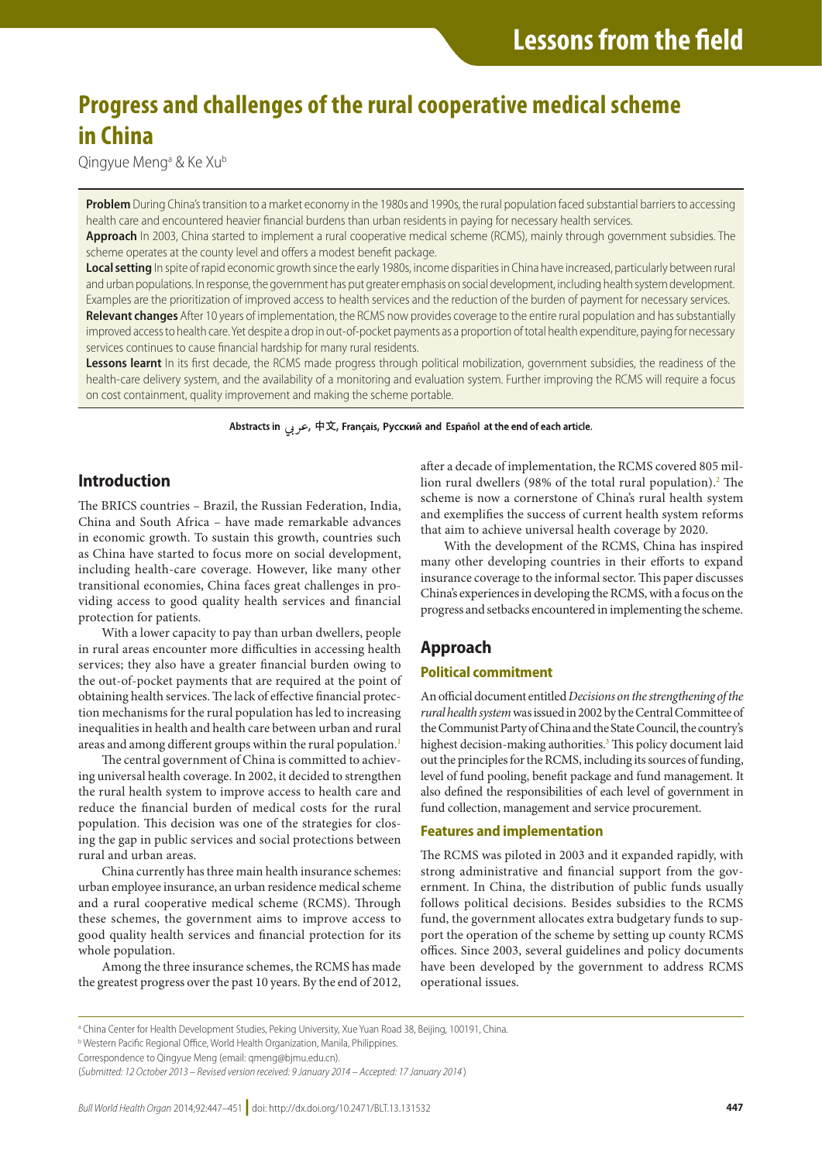# **Progress and challenges of the rural cooperative medical scheme in China**

Qingyue Mengª & Ke Xu<sup>b</sup>

**Problem** During China's transition to a market economy in the 1980s and 1990s, the rural population faced substantial barriers to accessing health care and encountered heavier financial burdens than urban residents in paying for necessary health services.

**Approach** In 2003, China started to implement a rural cooperative medical scheme (RCMS), mainly through government subsidies. The scheme operates at the county level and offers a modest benefit package.

**Local setting** In spite of rapid economic growth since the early 1980s, income disparities in China have increased, particularly between rural and urban populations. In response, the government has put greater emphasis on social development, including health system development. Examples are the prioritization of improved access to health services and the reduction of the burden of payment for necessary services. **Relevant changes** After 10 years of implementation, the RCMS now provides coverage to the entire rural population and has substantially improved access to health care. Yet despite a drop in out-of-pocket payments as a proportion of total health expenditure, paying for necessary services continues to cause financial hardship for many rural residents.

Lessons learnt In its first decade, the RCMS made progress through political mobilization, government subsidies, the readiness of the health-care delivery system, and the availability of a monitoring and evaluation system. Further improving the RCMS will require a focus on cost containment, quality improvement and making the scheme portable.

Abstracts in عربی, 中文, Français, Русский and Español at the end of each article.

# **Introduction**

The BRICS countries – Brazil, the Russian Federation, India, China and South Africa – have made remarkable advances in economic growth. To sustain this growth, countries such as China have started to focus more on social development, including health-care coverage. However, like many other transitional economies, China faces great challenges in providing access to good quality health services and financial protection for patients.

With a lower capacity to pay than urban dwellers, people in rural areas encounter more difficulties in accessing health services; they also have a greater financial burden owing to the out-of-pocket payments that are required at the point of obtaining health services. The lack of effective financial protection mechanisms for the rural population has led to increasing inequalities in health and health care between urban and rural areas and among different groups within the rural population.<sup>[1](#page-4-0)</sup>

The central government of China is committed to achieving universal health coverage. In 2002, it decided to strengthen the rural health system to improve access to health care and reduce the financial burden of medical costs for the rural population. This decision was one of the strategies for closing the gap in public services and social protections between rural and urban areas.

China currently has three main health insurance schemes: urban employee insurance, an urban residence medical scheme and a rural cooperative medical scheme (RCMS). Through these schemes, the government aims to improve access to good quality health services and financial protection for its whole population.

Among the three insurance schemes, the RCMS has made the greatest progress over the past 10 years. By the end of 2012, after a decade of implementation, the RCMS covered 805 mil-lion rural dwellers (98% of the total rural population).<sup>[2](#page-4-1)</sup> The scheme is now a cornerstone of China's rural health system and exemplifies the success of current health system reforms that aim to achieve universal health coverage by 2020.

With the development of the RCMS, China has inspired many other developing countries in their efforts to expand insurance coverage to the informal sector. This paper discusses China's experiences in developing the RCMS, with a focus on the progress and setbacks encountered in implementing the scheme.

# **Approach**

# **Political commitment**

An official document entitled *Decisions on the strengthening of the rural health system* was issued in 2002 by the Central Committee of the Communist Party of China and the State Council, the country's highest decision-making authorities.<sup>[3](#page-4-2)</sup> This policy document laid out the principles for the RCMS, including its sources of funding, level of fund pooling, benefit package and fund management. It also defined the responsibilities of each level of government in fund collection, management and service procurement.

# **Features and implementation**

The RCMS was piloted in 2003 and it expanded rapidly, with strong administrative and financial support from the government. In China, the distribution of public funds usually follows political decisions. Besides subsidies to the RCMS fund, the government allocates extra budgetary funds to support the operation of the scheme by setting up county RCMS offices. Since 2003, several guidelines and policy documents have been developed by the government to address RCMS operational issues.

Correspondence to Qingyue Meng (email: qmeng@bjmu.edu.cn).

a China Center for Health Development Studies, Peking University, Xue Yuan Road 38, Beijing, 100191, China.

**b Western Pacific Regional Office, World Health Organization, Manila, Philippines.** 

<sup>(</sup>*Submitted: 12 October 2013 – Revised version received: 9 January 2014 – Accepted: 17 January 2014* )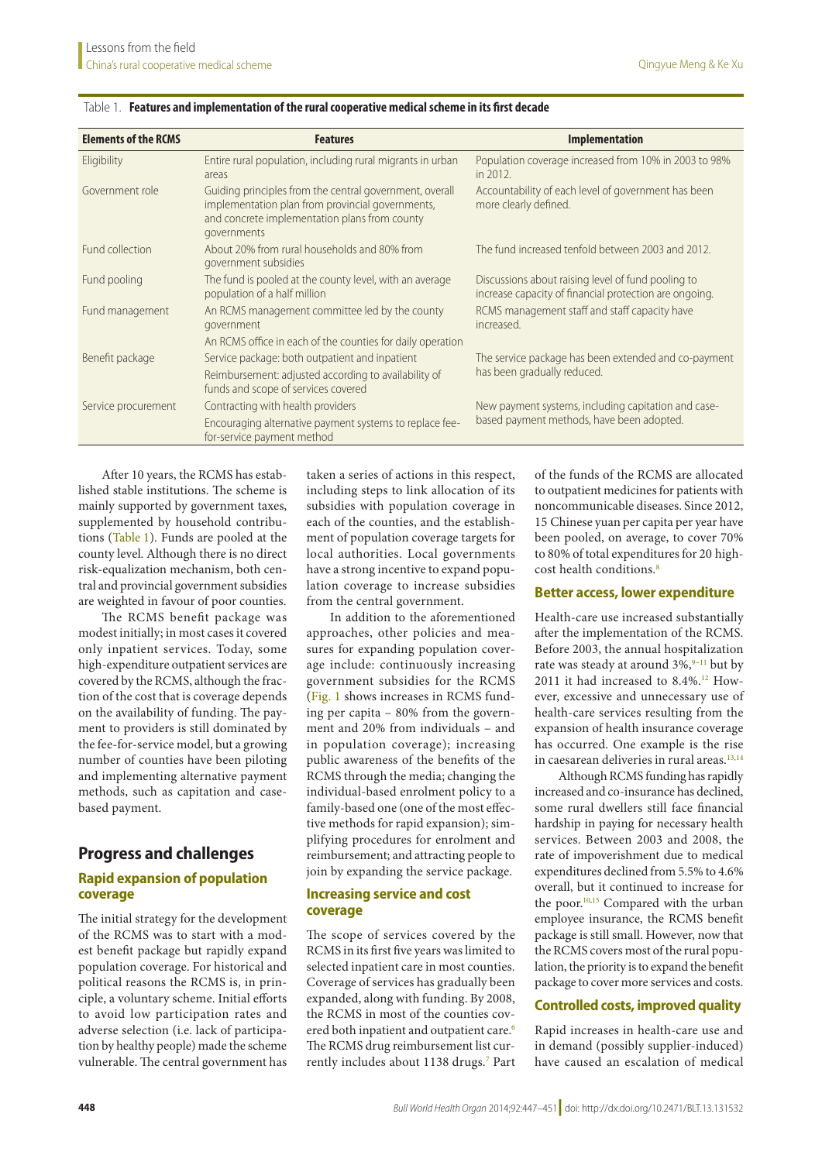| <b>Elements of the RCMS</b> | <b>Features</b>                                                                                                                                                                                             | <b>Implementation</b>                                                                                        |
|-----------------------------|-------------------------------------------------------------------------------------------------------------------------------------------------------------------------------------------------------------|--------------------------------------------------------------------------------------------------------------|
| Eligibility                 | Entire rural population, including rural migrants in urban<br>areas                                                                                                                                         | Population coverage increased from 10% in 2003 to 98%<br>in 2012.                                            |
| Government role             | Guiding principles from the central government, overall<br>implementation plan from provincial governments,<br>and concrete implementation plans from county<br>governments                                 | Accountability of each level of government has been<br>more clearly defined.                                 |
| Fund collection             | About 20% from rural households and 80% from<br>government subsidies                                                                                                                                        | The fund increased tenfold between 2003 and 2012.                                                            |
| Fund pooling                | The fund is pooled at the county level, with an average<br>population of a half million                                                                                                                     | Discussions about raising level of fund pooling to<br>increase capacity of financial protection are ongoing. |
| Fund management             | An RCMS management committee led by the county<br>government                                                                                                                                                | RCMS management staff and staff capacity have<br>increased.                                                  |
| Benefit package             | An RCMS office in each of the counties for daily operation<br>Service package: both outpatient and inpatient<br>Reimbursement: adjusted according to availability of<br>funds and scope of services covered | The service package has been extended and co-payment<br>has been gradually reduced.                          |
| Service procurement         | Contracting with health providers<br>Encouraging alternative payment systems to replace fee-<br>for-service payment method                                                                                  | New payment systems, including capitation and case-<br>based payment methods, have been adopted.             |

#### <span id="page-1-0"></span>Table 1. **Features and implementation of the rural cooperative medical scheme in its first decade**

After 10 years, the RCMS has established stable institutions. The scheme is mainly supported by government taxes, supplemented by household contributions ([Table](#page-1-0) 1). Funds are pooled at the county level. Although there is no direct risk-equalization mechanism, both central and provincial government subsidies are weighted in favour of poor counties.

The RCMS benefit package was modest initially; in most cases it covered only inpatient services. Today, some high-expenditure outpatient services are covered by the RCMS, although the fraction of the cost that is coverage depends on the availability of funding. The payment to providers is still dominated by the fee-for-service model, but a growing number of counties have been piloting and implementing alternative payment methods, such as capitation and casebased payment.

# **Progress and challenges**

# **Rapid expansion of population coverage**

The initial strategy for the development of the RCMS was to start with a modest benefit package but rapidly expand population coverage. For historical and political reasons the RCMS is, in principle, a voluntary scheme. Initial efforts to avoid low participation rates and adverse selection (i.e. lack of participation by healthy people) made the scheme vulnerable. The central government has

taken a series of actions in this respect, including steps to link allocation of its subsidies with population coverage in each of the counties, and the establishment of population coverage targets for local authorities. Local governments have a strong incentive to expand population coverage to increase subsidies from the central government.

In addition to the aforementioned approaches, other policies and measures for expanding population coverage include: continuously increasing government subsidies for the RCMS [\(Fig.](#page-2-0) 1 shows increases in RCMS funding per capita – 80% from the government and 20% from individuals – and in population coverage); increasing public awareness of the benefits of the RCMS through the media; changing the individual-based enrolment policy to a family-based one (one of the most effective methods for rapid expansion); simplifying procedures for enrolment and reimbursement; and attracting people to join by expanding the service package.

#### **Increasing service and cost coverage**

The scope of services covered by the RCMS in its first five years was limited to selected inpatient care in most counties. Coverage of services has gradually been expanded, along with funding. By 2008, the RCMS in most of the counties cov-ered both inpatient and outpatient care.<sup>[6](#page-4-3)</sup> The RCMS drug reimbursement list cur-rently includes about 1138 drugs.<sup>[7](#page-4-4)</sup> Part of the funds of the RCMS are allocated to outpatient medicines for patients with noncommunicable diseases. Since 2012, 15 Chinese yuan per capita per year have been pooled, on average, to cover 70% to 80% of total expenditures for 20 highcost health conditions.<sup>8</sup>

#### **Better access, lower expenditure**

Health-care use increased substantially after the implementation of the RCMS. Before 2003, the annual hospitalization rate was steady at around  $3\%$ , <sup>9-[11](#page-4-7)</sup> but by 2011 it had increased to 8.4%.<sup>[12](#page-4-8)</sup> However, excessive and unnecessary use of health-care services resulting from the expansion of health insurance coverage has occurred. One example is the rise in caesarean deliveries in rural areas.<sup>[13](#page-4-9)[,14](#page-4-10)</sup>

Although RCMS funding has rapidly increased and co-insurance has declined, some rural dwellers still face financial hardship in paying for necessary health services. Between 2003 and 2008, the rate of impoverishment due to medical expenditures declined from 5.5% to 4.6% overall, but it continued to increase for the poor.<sup>10,[15](#page-4-12)</sup> Compared with the urban employee insurance, the RCMS benefit package is still small. However, now that the RCMS covers most of the rural population, the priority is to expand the benefit package to cover more services and costs.

#### **Controlled costs, improved quality**

Rapid increases in health-care use and in demand (possibly supplier-induced) have caused an escalation of medical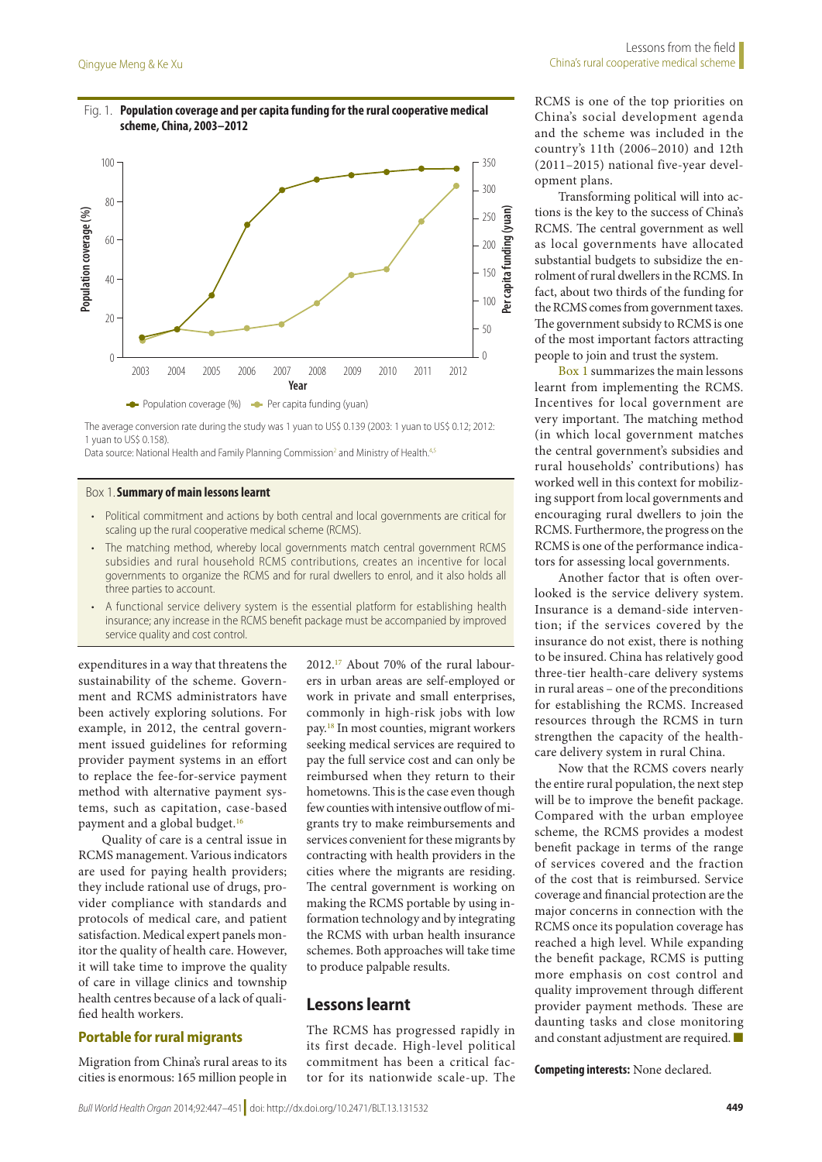# <span id="page-2-0"></span>Fig. 1. **Population coverage and per capita funding for the rural cooperative medical scheme, China, 2003–2012**



The average conversion rate during the study was 1 yuan to US\$ 0.139 (2003: 1 yuan to US\$ 0.12; 2012: 1 yuan to US\$ 0.158).

Data source: National Health and Family Planning Commission<sup>[2](#page-4-1)</sup> and Ministry of Health.<sup>4,[5](#page-4-17)</sup>

#### <span id="page-2-1"></span>Box 1.**Summary of main lessons learnt**

- Political commitment and actions by both central and local governments are critical for scaling up the rural cooperative medical scheme (RCMS).
- The matching method, whereby local governments match central government RCMS subsidies and rural household RCMS contributions, creates an incentive for local governments to organize the RCMS and for rural dwellers to enrol, and it also holds all three parties to account.
- A functional service delivery system is the essential platform for establishing health insurance; any increase in the RCMS benefit package must be accompanied by improved service quality and cost control.

expenditures in a way that threatens the sustainability of the scheme. Government and RCMS administrators have been actively exploring solutions. For example, in 2012, the central government issued guidelines for reforming provider payment systems in an effort to replace the fee-for-service payment method with alternative payment systems, such as capitation, case-based payment and a global budget.<sup>[16](#page-4-13)</sup>

Quality of care is a central issue in RCMS management. Various indicators are used for paying health providers; they include rational use of drugs, provider compliance with standards and protocols of medical care, and patient satisfaction. Medical expert panels monitor the quality of health care. However, it will take time to improve the quality of care in village clinics and township health centres because of a lack of qualified health workers.

#### **Portable for rural migrants**

Migration from China's rural areas to its cities is enormous: 165 million people in

2012[.17](#page-4-14) About 70% of the rural labourers in urban areas are self-employed or work in private and small enterprises, commonly in high-risk jobs with low pay.[18](#page-4-15) In most counties, migrant workers seeking medical services are required to pay the full service cost and can only be reimbursed when they return to their hometowns. This is the case even though few counties with intensive outflow of migrants try to make reimbursements and services convenient for these migrants by contracting with health providers in the cities where the migrants are residing. The central government is working on making the RCMS portable by using information technology and by integrating the RCMS with urban health insurance schemes. Both approaches will take time to produce palpable results.

# **Lessons learnt**

The RCMS has progressed rapidly in its first decade. High-level political commitment has been a critical factor for its nationwide scale-up. The

RCMS is one of the top priorities on China's social development agenda and the scheme was included in the country's 11th (2006–2010) and 12th (2011–2015) national five-year development plans.

Transforming political will into actions is the key to the success of China's RCMS. The central government as well as local governments have allocated substantial budgets to subsidize the enrolment of rural dwellers in the RCMS. In fact, about two thirds of the funding for the RCMS comes from government taxes. The government subsidy to RCMS is one of the most important factors attracting people to join and trust the system.

[Box](#page-2-1) 1 summarizes the main lessons learnt from implementing the RCMS. Incentives for local government are very important. The matching method (in which local government matches the central government's subsidies and rural households' contributions) has worked well in this context for mobilizing support from local governments and encouraging rural dwellers to join the RCMS. Furthermore, the progress on the RCMS is one of the performance indicators for assessing local governments.

Another factor that is often overlooked is the service delivery system. Insurance is a demand-side intervention; if the services covered by the insurance do not exist, there is nothing to be insured. China has relatively good three-tier health-care delivery systems in rural areas – one of the preconditions for establishing the RCMS. Increased resources through the RCMS in turn strengthen the capacity of the healthcare delivery system in rural China.

Now that the RCMS covers nearly the entire rural population, the next step will be to improve the benefit package. Compared with the urban employee scheme, the RCMS provides a modest benefit package in terms of the range of services covered and the fraction of the cost that is reimbursed. Service coverage and financial protection are the major concerns in connection with the RCMS once its population coverage has reached a high level. While expanding the benefit package, RCMS is putting more emphasis on cost control and quality improvement through different provider payment methods. These are daunting tasks and close monitoring and constant adjustment are required.

**Competing interests:** None declared.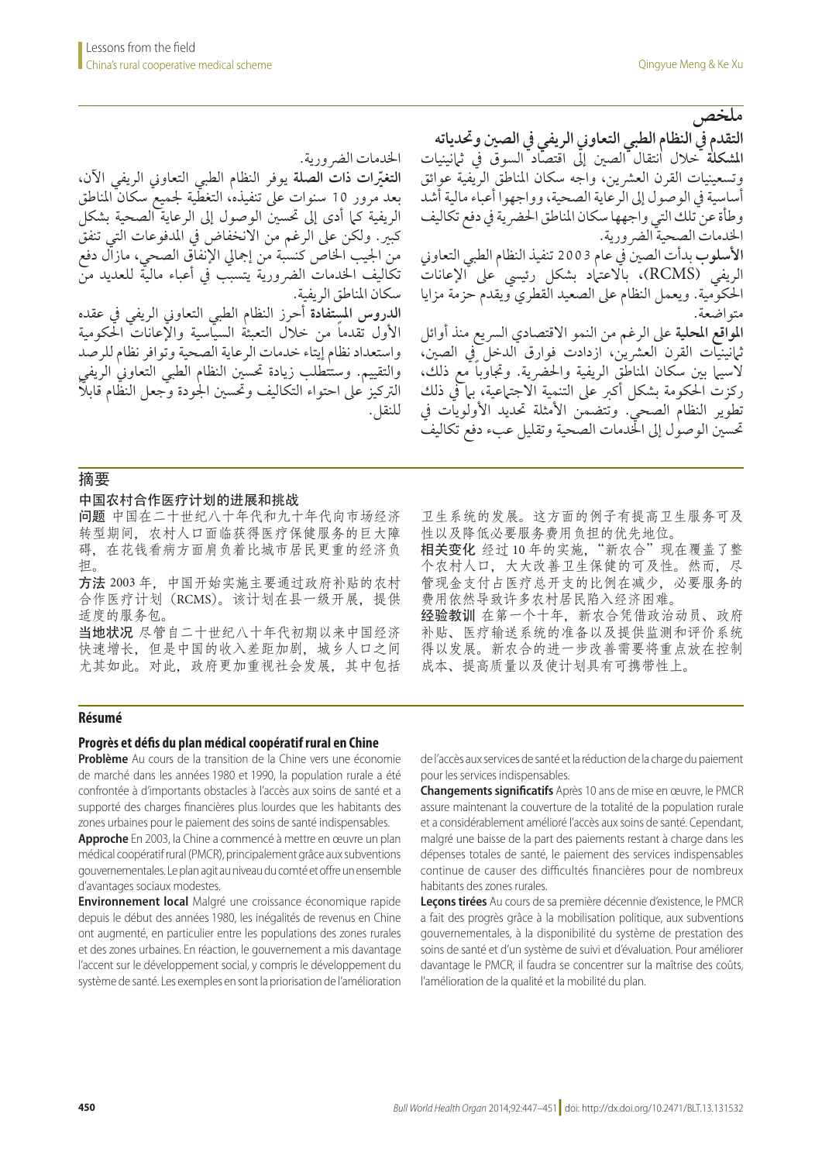**ملخص**

الخدمات الضرورية.<br>التغيّرات ذات الصلة يوفر النظام الطبي التعاوني الريفي الآن، بعد مرور 10 سنوات عىل تنفيذه، التغطية جلميع سكان املناطق **رّ التغيات ذات الصلة** يوفر النظام الطبي التعاوين الريفي اآلن، الريفية كما أدى إلى تحسين الوصول إلى الرعاية الصحية بشكل كبري. ولكن عىل الرغم من االنخفاض يف املدفوعات التي تنفق من اجليب اخلاص كنسبة من إمجايل اإلنفاق الصحي، مازال دفع تكاليف الخدمات الضرورية يتسبب في أعباء ماليّة للعديد منّ سكان املناطق الريفية.

**الدروس املستفادة** أحرز النظام الطبي التعاوين الريفي يف عقده الأول تقدما من خلال التعبئة السيّاسية والإعانات الحكومية واستعداد نظام إيتاء خدمات الرعاية الصحية وتوافر نظام للرصد والتقييم. وستتطلب زيادة تحسين النظام الطبي التعاوني الريفي ً الرتكيز عىل احتواء التكاليف وحتسني اجلودة وجعل النظام قابال للنقل.

**التقدم يف النظام الطبي التعاوين الريفي يف الصني وحتدياته املشكلة** خالل انتقال الصني إىل اقتصاد السوق يف ثامنينيات وتسعينيات القرن العشرين، واجه سكان المناطق الريفية عوائق أساسية يف الوصول إىل الرعاية الصحية، وواجهوا أعباء مالية أشد وطأة عن تلك التي واجهها سكان املناطق احلرضية يف دفع تكاليف اخلدمات الصحية الرضورية. **األسلوب** بدأت الصني يف عام 2003 تنفيذ النظام الطبي التعاوين الريفي (RCMS)، بالاعتاد بشكل رئيسي على الإعانات احلكومية. ويعمل النظام عىل الصعيد القطري ويقدم حزمة مزايا متواضعة. **املواقع املحلية** عىل الرغم من النمو االقتصادي الرسيع منذ أوائل ثامنينيات القرن العرشين، ازدادت فوارق الدخل يف الصني، لاسيها بين سكان المناطق الريفية والحضرية. وتجاوباً مع ذلك، ركزت احلكومة بشكل أكرب عىل التنمية االجتامعية، بام يف ذلك تطوير النظام الصحي. وتتضمن األمثلة حتديد األولويات يف حتسني الوصول إىل اخلدمات الصحية وتقليل عبء دفع تكاليف

# 摘要

#### 中国农村合作医疗计划的进展和挑战

问题 中国在二十世纪八十年代和九十年代向市场经济 转型期间,农村人口面临获得医疗保健服务的巨大障 碍,在花钱看病方面肩负着比城市居民更重的经济负 担。

方法 2003 年,中国开始实施主要通过政府补贴的农村 合作医疗计划(RCMS)。该计划在县一级开展,提供 适度的服务包。

当地状况 尽管自二十世纪八十年代初期以来中国经济 快速增长,但是中国的收入差距加剧,城乡人口之间 尤其如此。对此,政府更加重视社会发展,其中包括 卫生系统的发展。这方面的例子有提高卫生服务可及 性以及降低必要服务费用负担的优先地位。

相关变化 经过10年的实施,"新农合"现在覆盖了整 个农村人口,大大改善卫生保健的可及性。然而,尽 管现金支付占医疗总开支的比例在减少,必要服务的 费用依然导致许多农村居民陷入经济困难。

经验教训 在第一个十年, 新农合凭借政治动员、政府 补贴、医疗输送系统的准备以及提供监测和评价系统 得以发展。新农合的进一步改善需要将重点放在控制 成本、提高质量以及使计划具有可携带性上。

# **Résumé**

#### **Progrès et défis du plan médical coopératif rural en Chine**

**Problème** Au cours de la transition de la Chine vers une économie de marché dans les années 1980 et 1990, la population rurale a été confrontée à d'importants obstacles à l'accès aux soins de santé et a supporté des charges financières plus lourdes que les habitants des zones urbaines pour le paiement des soins de santé indispensables.

**Approche** En 2003, la Chine a commencé à mettre en œuvre un plan médical coopératif rural (PMCR), principalement grâce aux subventions gouvernementales. Le plan agit au niveau du comté et offre un ensemble d'avantages sociaux modestes.

**Environnement local** Malgré une croissance économique rapide depuis le début des années 1980, les inégalités de revenus en Chine ont augmenté, en particulier entre les populations des zones rurales et des zones urbaines. En réaction, le gouvernement a mis davantage l'accent sur le développement social, y compris le développement du système de santé. Les exemples en sont la priorisation de l'amélioration de l'accès aux services de santé et la réduction de la charge du paiement pour les services indispensables.

**Changements significatifs** Après 10 ans de mise en œuvre, le PMCR assure maintenant la couverture de la totalité de la population rurale et a considérablement amélioré l'accès aux soins de santé. Cependant, malgré une baisse de la part des paiements restant à charge dans les dépenses totales de santé, le paiement des services indispensables continue de causer des difficultés financières pour de nombreux habitants des zones rurales.

**Leçons tirées** Au cours de sa première décennie d'existence, le PMCR a fait des progrès grâce à la mobilisation politique, aux subventions gouvernementales, à la disponibilité du système de prestation des soins de santé et d'un système de suivi et d'évaluation. Pour améliorer davantage le PMCR, il faudra se concentrer sur la maîtrise des coûts, l'amélioration de la qualité et la mobilité du plan.